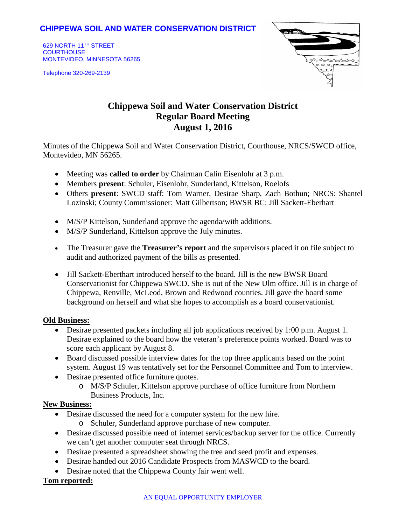## **CHIPPEWA SOIL AND WATER CONSERVATION DISTRICT**

629 NORTH 11TH STREET **COURTHOUSE** MONTEVIDEO, MINNESOTA 56265

Telephone 320-269-2139



# **Chippewa Soil and Water Conservation District Regular Board Meeting August 1, 2016**

Minutes of the Chippewa Soil and Water Conservation District, Courthouse, NRCS/SWCD office, Montevideo, MN 56265.

- Meeting was **called to order** by Chairman Calin Eisenlohr at 3 p.m.
- Members **present**: Schuler, Eisenlohr, Sunderland, Kittelson, Roelofs
- Others **present**: SWCD staff: Tom Warner, Desirae Sharp, Zach Bothun; NRCS: Shantel Lozinski; County Commissioner: Matt Gilbertson; BWSR BC: Jill Sackett-Eberhart
- M/S/P Kittelson, Sunderland approve the agenda/with additions.
- M/S/P Sunderland, Kittelson approve the July minutes.
- The Treasurer gave the **Treasurer's report** and the supervisors placed it on file subject to audit and authorized payment of the bills as presented.
- Jill Sackett-Eberthart introduced herself to the board. Jill is the new BWSR Board Conservationist for Chippewa SWCD. She is out of the New Ulm office. Jill is in charge of Chippewa, Renville, McLeod, Brown and Redwood counties. Jill gave the board some background on herself and what she hopes to accomplish as a board conservationist.

### **Old Business:**

- Desirae presented packets including all job applications received by 1:00 p.m. August 1. Desirae explained to the board how the veteran's preference points worked. Board was to score each applicant by August 8.
- Board discussed possible interview dates for the top three applicants based on the point system. August 19 was tentatively set for the Personnel Committee and Tom to interview.
- Desirae presented office furniture quotes.
	- o M/S/P Schuler, Kittelson approve purchase of office furniture from Northern Business Products, Inc.

### **New Business:**

- Desirae discussed the need for a computer system for the new hire.
	- o Schuler, Sunderland approve purchase of new computer.
- Desirae discussed possible need of internet services/backup server for the office. Currently we can't get another computer seat through NRCS.
- Desirae presented a spreadsheet showing the tree and seed profit and expenses.
- Desirae handed out 2016 Candidate Prospects from MASWCD to the board.
- Desirae noted that the Chippewa County fair went well.

### **Tom reported:**